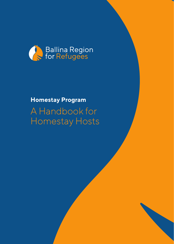

## A Handbook for Homestay Hosts **Homestay Program**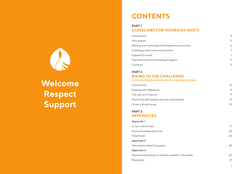# **Welcome Respect Support**

## **CONTENTS**

## **PART 1 GUIDELINES FOR HOMESTAY HOSTS**

| Introduction                                   | 4 |
|------------------------------------------------|---|
| Your quests                                    | 5 |
| Making your homestay host experience a success | 6 |
| Creating a safe home environment               |   |
| Support for hosts                              |   |
| Transitioning from Homestay Program            | 9 |
| Contacts                                       |   |

## **PART 2 RISING TO THE CHALLENGE:**

#### *Contributing positively to the healing process*

| Introduction                              | 10 |  |
|-------------------------------------------|----|--|
| Dealing with difference                   | 11 |  |
| The nature of trauma                      | 11 |  |
| How to be with people who are traumatised | 13 |  |
| Cross-cultural issues                     | 15 |  |

### **PART 3 APPENDICES**

| Appendix 1                                         |    |
|----------------------------------------------------|----|
| Cross-cultural tips                                | 17 |
| Food and preparation tips                          | 25 |
| Halal Food                                         | 26 |
| Appendix 2                                         |    |
| Information sheet for guests                       | 28 |
| Appendix 3                                         |    |
| General information on asylum-seekers in Australia | 30 |
| Resources                                          | 31 |
|                                                    | 3  |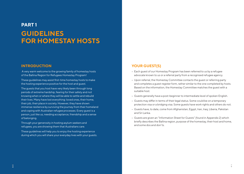## **PART 1 GUIDELINES FOR HOMESTAY HOSTS**

## **INTRODUCTION**

 A very warm welcome to the growing family of homestay hosts of the Ballina Region for Refugees Homestay Program!

These guidelines may assist first-time homestay hosts to make the hosting experience positive for the host and guest.

The guests that you host have very likely been through long periods of extreme hardship, fearing for their safety and not knowing when or where they will be able to settle and rebuild their lives. Many have lost everything: loved ones, their home, their job, their place in society. However, they have shown immense resilience by surviving the journey from their homeland and coping with Australian refugee processes. Every guest is a person, just like us, needing acceptance, friendship and a sense of belonging.

Through your generosity in hosting asylum seekers and refugees, you are showing them that Australians care.

These guidelines will help you to enjoy the hosting experience during which you will share your everyday lives with your guests.

## **YOUR GUEST(S)**

- Each quest of our Homestay Program has been referred to us by a refugee advocate known to us or a referral party from a recognised refugee agency.
- • Upon referral, the Homestay Committee contacts the guest or referring party and completes a guest register form, rather similar to the one completed by hosts. Based on the information, the Homestay Committee matches the guest with a suitable host.
- • Guests generally have a post-beginner to intermediate level of spoken English.
- Guests may differ in terms of their legal status. Some could be on a temporary protection visa or a bridging visa. Some guests have work rights and others do not.
- • Guests have, to date, come from Afghanistan, Egypt, Iran, Iraq, Liberia, Pakistan and Sri Lanka.
- • Guests are given an "Information Sheet for Guests" (found in Appendix 2) which briefly describes the Ballina region, purpose of the homestay, their host and home, and some dos and don'ts.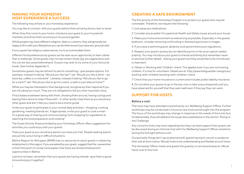## **MAKING YOUR HOMESTAY HOST EXPERIENCE A SUCCESS**

The following may enhance your homestay experience:

You may like to connect with your guests before their arrival by phone, text or email.

When they first come to your home, introduce your quest to your household members and show them around your house and garden.

While people may have different religions, diets or customs, they will generally be happy to fit in with your lifestyle but you can let them know if you have any 'ground rules'.

If your guest has religious observances, try to accommodate them.

Different food preferences by guests can be seen as an opportunity to learn rather than a challenge. Some guests may not eat certain foods (eg. are vegetarians) and this can be discussed beforehand. Guests may wish to try some of your favourite foods. (See further Appendix 1)

Sometimes guests may be reticent to ask for something - give people options. For example, instead of asking "Would you like tea?" ask "Would you like a drink – we have tea, coffee or a cold drink". Likewise, instead of asking "Would you like to go for a swim?" ask "Would you like to go for a swim, a walk or just relax at home?"

While you may be interested in their background, recognise by their response if you are intruding too much. They are not obligated to tell you their traumatic story.

Find a balance between being with them, showing them around, having outings and leaving them alone to relax if they wish - in other words, treat them as you would any other guest and don't feel you need to be a tourist guide.

Invite your guest to participate in your normal daily activities – shopping, cooking, gardening, meeting friends etc. If appropriate, invite your guest to cook a meal – it's a great way of sharing and communicating, from shopping for ingredients to watching the food preparation and cooking!

The Guest Activity Sheet provided by your Homestay Officer offers suggestions for activities you could enjoy with your guests.

Treat your guest as you would any person you have just met. People seeking asylum are just like us but living in difficult situations.

Ballina Region for Refugees (BR4R) has no resources to assist guests in obtaining employment in this region. If you are asked by your guest, suggest that the caseworker is their first point of contact and explain that there are limited employment opportunities in Ballina.

Last but not least, remember that your guests are having a break—give them a good time and enjoy it together!

## **CREATING A SAFE ENVIRONMENT**

The first priority of the Homestay Program is to protect our guests who may be vulnerable. Therefore, we request the following:

1. Lock away any medications.

2. Consider any possible Occupational Health and Safety issues around your house.

3. Make your home environment as welcoming as possible. Especially in the guests' bedroom, consider removing confronting or distressing pictures or images.

4. If you have a swimming pool, abide by local government pool regulations.

5. Respect your guest's privacy by not identifying him or her as an asylum seeker publicly. You may introduce your guest to friends and family but remember never to disclose further details. Asking your guest how they would like to be introduced is important.

6. Obtain a 'Working with Children' check. This applies even if you are not hosting children. It is free for volunteers. Details are at: http://www.kidsguardian.nsw.gov.au/ working-with-children/working-with-children-check

7. Check that your home insurance is current and includes public liability insurance.

8. Do not allow your guests to go in the sea, river or lake unaccompanied until you have observed for yourself that they swim well even if they say they can swim.

## **SUPPORT FOR HOSTS**

#### **Before a visit:**

The hosts may have attended a workshop by our Wellbeing Support Officer. Further workshops may be conducted in future as new hosts are brought into the program. The focus of the workshops may change in response to the needs of the hosts but, fundamentally, they will address the issues discussed below in the section 'Rising to the Challenge'

Any concerns hosts may have regarding how they can best support their guests can be discussed during an informal chat with the Wellbeing Support Officer sometime during the fortnight before a visit.

Occasionally, things don't go as planned with guests having to cancel or postpone their visit at short notice. We ask hosts to be understanding and flexible at such times.

The Homestay Officer meets and greets the guest(s) on arrival and does an official hand-over to the host.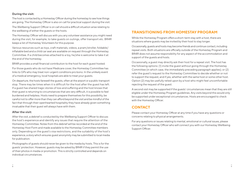#### **During the visit:**

The host is contacted by a Homestay Officer during the homestay to see how things are going. The Homestay Officer is also on call for practical support during the visit. The Wellbeing Support Officer is on call should a difficult situation arise relating to the wellbeing of either the guests or the hosts.

The Homestay Officer will discuss with you any volunteer assistance you might need during the visit, for example, to take guests on outings, offer transport etc. BR4R keeps a list of Homestay Volunteers for this purpose.

Various resources such as toys, craft materials, videos, a pram/stroller, foldable/ inflatable bed and a child car seat are available on request through the Homestay Committee. If a child becomes attached to a toy, he/she is welcome to take it at the end of the homestay.

BR4R provides a small financial contribution to the host for each guest hosted.

For those guests who do not have Medicare cover, the Homestay Committee has links to GPs who may treat non-urgent conditions pro bono. In the unlikely event of a medical emergency, local hospitals are able to treat your guests.

On departure, the hosts farewell the guests, often at the airport or a public transport stop. There may be times when it is difficult for the host after the guest has left. If a guest has shared tragic stories of loss and suffering and the host knows that their guest is returning to circumstances that are very difficult, it is possible to feel burdened and helpless. Hosts need to prepare themselves for this possibility, be careful not to offer more than they can afford beyond the visit and be mindful of the fact that through their openhearted hospitality they have already given something invaluable that their guest will always have with them.

#### **After the visit:**

After the visit, a debrief is conducted by the Wellbeing Support Officer to discuss the host's experience and identify any issues that require the attention of the Homestay Committee. Notes from this debrief will be recorded at the end of the Homestay Host Form and made available to the Homestay Committee members only. Depending on the guest's visa restrictions, and the suitability of the host's experience, a story which ensures guest anonymity may be submitted to local media for publication.

Photographs of guests should never be given to the media by hosts. This is for the guests' protection. However, guests may be asked by BR4R if they permit the use of their photos in media or promotion. This is strictly controlled and depends on individual circumstances.

## **TRANSITIONING FROM HOMESTAY PROGRAM**

While the Homestay Program offers a short-term stay with a host, there are situations where guests may be invited by their host to stay longer.

Occasionally, guests and hosts may become friends and continue contact, including repeat visits. Both situations are officially outside of the Homestay Program and BR4R does not assume responsibility for any aspect of the accommodation and support of the guests and hosts.

Occasionally, a guest may directly ask their host for a repeat visit. The host has the following options: (1) invite the guest without going through the Homestay Committee (in which case, the immediately preceding paragraph applies); or (2) refer the guest's request to the Homestay Committee to decide whether or not to support the request, and if yes, whether with the same host or some other host. Option (2) may be usefully relied upon by a host who might feel uncomfortable rejecting the request of the guest.

A second visit may be supported if the guests' circumstances mean that they are still eligible under the Homestay Program guidelines. Any visits beyond this would only be supported under exceptional circumstances. Hosts are encouraged to check with the Homestay Officer.

## **CONTACT**

Please contact your Homestay Officer at any time if you have any questions or concerns relating to physical arrangements.

For any questions or issues relating to mental, emotional or cultural issues, please contact your Homestay Officer who will connect you with our Homestay Wellbeing Support Officer.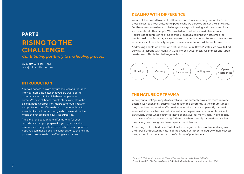## **PART 2 RISING TO THE CHALLENGE**

*Contributing positively to the healing process*

By Judith C Miller (PhD) www.judithcmiller.com.au

## **DEALING WITH DIFFERENCE**

We are all hard wired to react to difference and from a very early age we learn from those closest to us our attitudes to people who we perceive are not the same as us. For these reasons we have to challenge our ways of thinking and the assumptions we make about other people. We have to learn not to be afraid of difference. Regardless of our role in relating to others, be it as a neighbour, host, official or mental health professional, we are required to examine our attitudes to those whose experience, colour, ethnicity, religion or sexual orientation is different from our own.

Addressing people who work with refugees, Dr Laura Brown\* states, we have to find our way to respond with Humility, Curiosity, Self-Awareness, Willingness and Openheartedness. This is the challenge for hosts.



### **INTRODUCTION**

Your willingness to invite asylum seekers and refugees into your home indicates that you are aware of the circumstances out of which these people have come. We have all heard terrible stories of systematic discrimination, oppression, maltreatment, dislocation and profound loss. We are bound to wonder how to even think about human beings who have endured so much and yet are people just like ourselves.

The aim of this section is to offer material for your consideration as you prepare for your guests and to reassure you that you have the ability to be a supportive host. You can make a positive contribution to the healing process of anyone who is suffering from trauma.

## **THE NATURE OF TRAUMA**

While your guests' journeys to Australia will undoubtedly have cost them in every possible way, each individual will have responded differently to the circumstances they have been exposed to. We need to recognise that any apparently traumatic event will affect each individual differently. Some people are remarkably resilient particularly those whose countries have been at war for many years. Their capacity to survive is often utterly inspiring. Others have been deeply traumatised by what they have gone through and need special consideration.

According to Dr. Robert Scaer† what makes a negative life event traumatising is not the literal life-threatening nature of the event, but rather the degree of helplessness it engenders in conjunction with one's history of prior trauma.

\* Brown, L.S. 'Cultural Competence in Trauma Therapy: Beyond the flashpoint' (2008) † Scaer, Robert MD. 'The Precious Present' Published in Psychotherapy Network (Nov/Dec 2006)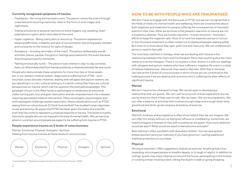#### **Currently recognised symptoms of trauma:**

- • Flashbacks Re-living the traumatic event. The person relives the event through unwanted and recurring memories, often in the form of vivid images and nightmares.
- • Intense emotional or physical reactions to some triggers: e.g. sweating, heart palpitations or panic when reminded of the event.
- Hyper-vigilance Being overly alert or wound up. The person experiences sleeping difficulties, irritability and lack of concentration, becoming easily startled and constantly on the lookout for signs of danger.
- • Avoidance Avoiding reminders of the event. The person deliberately avoids activities, places, people, thoughts or feelings associated with the event because they bring back painful memories.
- Feeling emotionally numb The person loses interest in day-to-day activities, feels cut off and detached from friends and family, or feels emotionally flat and numb.

People who demonstrate these symptoms for more than two or three weeks are, in our western medical system, diagnosed as suffering from PTSD - posttraumatic stress disorder. However, dealing with refugees and asylum seekers, we are operating in a cross-cultural setting so it is worth noting that there are cultural perspectives on trauma, which call into question the biomedical paradigm. This paradigm of ours in the West tends to pathologise or medicalise all emotional states turning pain, loss and grief, dislocation and dis-empowerment into a disease requiring specialised medical intervention. Many sociologists, psychologists and anthropologists challenge western psychiatric illness classifications such as PTSD, seeing them as culture bound. Dr Derik Summerfield\* has studied human responses to war and atrocity. He argues that PTSD has been given the status of a scientific truth that has come to represent a universal response to trauma. This tends to mystify trauma for people who are not trained in the area of mental health. We can become afraid or uncertain around people we expect to be suffering from trauma or PTSD.

#### **People experience trauma on 5 levels of consciousness:**

Mental. Emotional. Physical. Energetic. Spiritual. Healing from trauma involves all these levels of consciousness.



\* Summerfield, D. 'Medical Foundation for the Care of Victims of Torture' (1993)

## **HOW TO BE WITH PEOPLE WHO ARE TRAUMATISED**

We don't have to engage with the discourse on PTSD, but we can recognise that in the fields of medicine, mental health and wellbeing, there are uncertainties about both diagnosis and treatment for people suffering the consequences of traumatic events in their lives. What we do know is that people's reactions to trauma are not a mysterious disease. They are human reactions - human emotions - the body's efforts to keep the organism safe. Most of us have not experienced war or torture or the inhumane treatment so often meted out to displaced people seeking safety. But most of us know about fear, pain, grief, loss and insecurity. We can understand a person's need to feel safe.

The most basic element in therapy, when we are dealing with trauma is the relationship between the client and the therapist. More than anything else the client needs to trust the therapist. There is no mystery in that. And so it is with our dealings with refugees and asylum-seekers who have suffered a 'negative life event in a state of relative helplessness'. Above all, they need to feel safe. With that in mind we can look at the 5 levels of consciousness in terms of how we can contribute to the healing process if we are dealing with someone who is suffering the after-effects of significant trauma.

#### **Mental**

We don't have to be a therapist to help. We can be open to developing a relationship with our guests. We can't ask for accounts of their experience, but we can be there for them if they want to talk. We can listen. We can be empathetic. We can offer a balance of activities that involves enough sleep and enough down time, good food and drink, good company and plenty of exercise.

#### **Emotional**

Warmth, kindness and acceptance is often more helpful than we can imagine. We can offer this simply without our being too effusive or overbearing. Sometimes, we need to imagine a reversal of roles with ourselves as the guest. How much attention would we want? What would we need to feel welcome and safe?

Bed-wetting is often a problem with disturbed children. You can save guests embarrassment (and your mattress) if you have good non-rustling waterproof mattress protectors on your beds.

#### **Physical**

Moving is important. Offer suggestions of physical exercise. Anything that is fun, rewarding, encourages people to breathe deeply, or to laugh is helpful. In addition to outings, guests may enjoy helping out around the house, participating in the kitchen or cooking a meal, mowing a lawn, taking the dog for a walk or going shopping.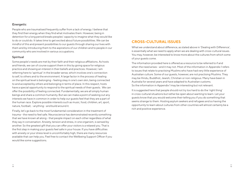#### **Energetic**

People who are traumatised frequently suffer from a lack of energy. I believe that they find their energy when they find what motivates them. However, being in detention for a long period breaks peoples' capacity to imagine what they would like to do or could do. It takes time to get excited about future possibilities. We can be mindful of this and present possibilities to our guests through sharing our lives with them and by introducing them to the aspirations of our children and to people in our community who are involved in various occupations.

#### **Spiritual**

Some people's needs are met by their faith and their religious affiliations. As hosts and friends, we can of course support them in this by giving space for religious practice and showing an interest in their beliefs and practices. However, I am referring here to 'spiritual' in the broader sense, which involves one's connection to self, to others and to the environment. A large factor in the process of healing on the spiritual level is belonging - feeling okay in one's own skin, being connected to and accepted by others and belonging in terms of place. In this respect, hosts have a special opportunity to respond to the spiritual needs of their guests. We can offer the possibility of feeling connected. Fundamentally, we are all simply human beings and share a common humanity. But we can make a point of seeking out any interests we have in common in order to help our guests feel that they are a part of the human race. Explore possible interests such as music, food, children, art, sport, nature, football, - anything - and build around it.

Finally, let's go back to the most fundamental consideration in the treatment of trauma - the need to feel safe. Neuroscience has demonstrated recently something that we have known all along - that people impact on each other regardless of what they say in conversation. Anxiety, tension and stress, in one organism, is sensed by another. So the greatest gift that you can offer your visitors is a relaxed you. That is the first step in making your guests feel safe in your house. If you have difficulties with anxiety or your stress level is uncomfortably high, there are many resources available that can help you. Feel free to contact the Wellbeing Support Officer if you would like some suggestions.

### **CROSS-CULTURAL ISSUES**

What we understand about difference, as stated above in 'Dealing with Difference', is essentially what we need to apply when we are dealing with cross-cultural issues. You may, however, be interested to know more about the cultures from which some of your guests come.

The information provided here is offered as a resource to be referred to if and when the need arises - and it may not. Most of the information in Appendix 1 refers to issues that relate to practising Muslims who have had very little experience of Australian culture. Some of our guests, however, are not practising Muslims. They may be Hindu, Buddhist, Jewish, Christian or non-religious. Many have been in Australia for several years and have adapted to Australian customs. So the information in Appendix 1 may be interesting but not relevant.

It is suggested here that people should not try too hard to do the 'right thing' in cross-cultural situations but rather be open about wanting to learn. Let your guests know that you would welcome their telling you if you do something that seems strange to them. Hosting asylum seekers and refugees and so having the opportunity to learn about cultures from other countries will almost certainly be a rich and positive experience.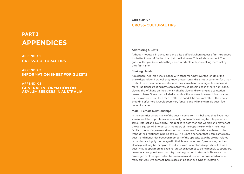## **PART 3 APPENDICES**

## **APPENDIX 1 CROSS-CULTURAL TIPS**

**APPENDIX 2 INFORMATION SHEET FOR GUESTS**

**APPENDIX 3 GENERAL INFORMATION ON ASYLUM SEEKERS IN AUSTRALIA**

## **APPENDIX 1 CROSS-CULTURAL TIPS**

#### **Addressing Guests**

Although not usual in our culture and a little difficult when a guest is first introduced it is better to use 'Mr' rather than just the first name. This will show respect. The guest will let you know when they are comfortable with your calling them just by their first name.

#### **Shaking Hands**

As a general rule, men shake hands with other men, however the length of the shake depends on how well they know the person and it is not uncommon for a man to also touch the other man's elbow as they shake hands as a sign of closeness. A more traditional greeting between men involves grasping each other's right hand, placing the left hand on the other's right shoulder and exchanging a salutation on each cheek. Some men will shake hands with a woman, however it is advisable for the woman to wait for a man to offer his hand. If he does not offer it the woman shouldn't offer hers, it would seem very forward and will make a male guest feel uncomfortable.

#### **Male – Female Relationships**

In the countries where many of the guests come from it is believed that if you treat someone of the opposite sex as an equal your friendliness may be interpreted as sexual interest and availability. This applies to both men and women and may affect the way a guest will interact with members of the opposite sex within their host family. In our society men and women can have close friendships with each other without their relationship being sexual. This is not a concept that is familiar to many guests and friendships between members of the opposite sex who are not related or married are highly discouraged in their home countries. By remaining cool and aloof a guest may be trying not to put you in an uncomfortable position. In time a guest may adopt a more relaxed nature when it comes to being friendly to strangers, however a new guest to our country may be guarded to start with. Be aware that prolonged or close eye contact between men and women is considered rude in many cultures. Eye contact in this case can be seen as a type of invitation.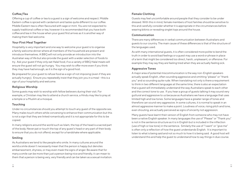#### **Coffee/Tea**

Offering a cup of coffee or tea to a guest is a sign of welcome and respect. Middle Eastern coffee is spiced with cardamom and tastes quite different to our coffee. Middle Eastern tea is often flavoured with sage or mint. You are not expected to supply traditional coffee or tea, however it is recommended that you have both coffee and tea in the house when your guest first arrives as it is another way of making them feel welcome.

#### **Your First Meal Together**

Hospitality is very important and one way to welcome your guest is to organise a family welcome dinner where all members of the household are present and introduce themselves. A BBQ will not only provide an introduction into the Australian way of life but also provide the guest with a wider selection of foods to try. Ask your guest if they only eat Halal food, if so a variety of BBQ Halal meats will ensure the guest will not go hungry. You may wish to offer more even if you think they may have had enough, as it is the sign of a good host.

Be prepared for your guest to refuse food as a sign of not imposing (even if they are actually hungry). Ensure you repeatedly insist that they join you in a meal – this is a sign of your hospitality and welcome.

#### **Religious Worship**

Some guests may wish to worship with fellow believers during their visit. For example, a Christian may like to attend a church service, a Hindu may like to pray at a temple or a Muslim at a mosque.

#### **Touching**

Under no circumstances should you attempt to touch any guest of the opposite sex. Many males touch others while conversing to enhance their communication but this is not a sign that they are linked romantically and it is not appropriate for this to be copied.

In many religions around the world such as Islam, the top of the head is a sacred part of the body. Never pat or touch the top of any guest's head or any part of their body to ensure that you do not offend, except for a handshake where applicable.

#### **Smiling**

As Australians we tend to like people who smile. In many cultures around the world a smile doesn't necessarily mean that the person is happy but denotes embarrassment, shyness, or may even mask the signs of anger. Be aware that for many a smile can be more than just a person being nice and friendly, it can mean to them that a person is being very, very friendly and can be taken as a sexual invitation.

#### **Female Clothing**

Guests may feel uncomfortable around people that they consider to be under dressed. With this in mind, female members of host families should be sensitive to this and carefully consider whether it is appropriate in the circumstances before wearing bikinis or revealing singlet tops around the house.

#### **Communication**

There are many differences in verbal communication between Australians and guests to our country. The main cause of these differences is that of the structure of the languages used.

As with many international guests, it is often considered more polite to bend the truth in order to avoid bad feelings or a guest may use a word or phrase in place of a term that might be considered too direct, harsh, unpleasant, or offensive. For example they may say they are feeling tired when they are actually feeling sick.

#### **Aggressive Tones**

A major area of potential miscommunication is the way non-English speakers actually speak English, often sounding aggressive and omitting "please" or "thank you" and so sounding quite rude. When translating not only is there a requirement to think in two different languages at the same time, there is also an expectation that a guest will immediately understand the way Australians speak to each other and the correct tone to use. If you hear a group of guests talking it may sound very guttural and aggressive to us because as Australians we have a language that uses limited high and low tones. Some languages have a greater range of tones and therefore can sound very aggressive. In some cultures, it is normal to speak in an almost aggressive manner to make a point. Loudness of voice, rising pitch and tone, even shouting, are actually perceived as signs of sincerity not aggression.

Many guests have learnt their version of English from someone who may not have been a native English speaker. In many languages the use of "Please" or "Thank you" is not in the sentence structure as it is in English but is included in the inflection (use of high or low tone) in the sentence. Similarly the use of "I want" or "give me" is often only a reflection of how the guest understands English. It is important to listen to what is being said and not so much to how it is being said. A good host will understand this and help the guest to understand how to say things in due course.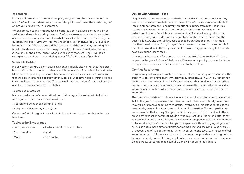#### **Yes and No**

In many cultures around the world people go to great lengths to avoid saying the word "no" as it is considered very rude and abrupt. Instead use of the words "maybe" or "not yet" or even "yes" are common.

When communicating with a guest it is better to gently advise if something is not available and resist from using the word "no". It is also recommended that you try to offer some reason why you cannot do what they ask rather than just dismissing the question or request. Similarly "Yes" may not mean "Yes" in answer to your question. It can also mean "Yes I understand the question" and the guest may be taking their time to decide an answer or "yes it is a possibility but I haven't really decided yet". Although you should feel encouraged by the use of the word, "yes" it would be wrong to assume that the negotiating is over. "Yes" often means "possibly".

#### **Silence Is Golden**

In our western culture a silent pause in a conversation is often a sign that the person is uncomfortable or does not understand. It is generally an Australian's inclination to fill the silence by talking. In many other countries silence in a conversation is a sign that the person is thinking about what they are about to say and background silence is a normal part of a conversation. This may make you feel uncomfortable whereas a guest will be quite comfortable with this.

#### **Topics best Avoided**

Many normal topics of conversation in Australia may not be suitable to talk about with a guest. Topics that are best avoided are:

- Reason for fleeing their country of origin
- Religion, politics, drugs, alcohol, sex

Once comfortable, a guest may wish to talk about these issues but that will usually take time.

#### **Topics to be Encouraged**

- Food preferences Australia and Australian culture
- Accommodation Sport
- 

• Music **• Art / poetry** • Employment

#### **Dealing with Criticism – Face**

Negative situations with guests need to be handled with extreme sensitivity. Any discussions must ensure that there is no loss of "face". The western equivalent of "face" is embarrassment. Face is very important to guests from many countries. If a guest is criticized in front of others they will suffer from "loss of face". In order to avoid loss of face, it is recommended that if you deliver any criticism in a conversation, you include praise and gratitude for the positive things that the guest is doing. Quite often, if a guest is seen to be anxious or angry it may mean that they have lost face. To try to regain face they must be seen to be in control of the situation and to do this they may speak down in an aggressive way to those who have caused the loss of face.

If necessary the best way for a person to regain control of the situation is to show respect to the guest in front of their peers. If for example you try to use verbal force to regain the power in a conflict situation it will only escalate.

#### **Conflict Resolution**

It is generally not in a guest's nature to force conflict. If unhappy with a situation, the guest may prefer to have an intermediary discuss the situation with you rather than confront you themselves. Similarly if there are issues that need to be discussed it is better to do this in an indirect way. If it is a serious matter it may be better to find an intermediary to do this as direct criticism will only escalate a situation. Patience is imperative.

The most appropriate action is to act in a calm, controlled and unemotional manner. Talk to the guest in a private environment, without others around and you will find they will be far more accepting of the issues involved. It is important not to use the guest's religion or cultural background in a conflict situation. For example it is not recommended that you say "It might be OK in Islam to …….." This is a direct attack on one of the most important things in a Muslim guest's life. It is much better to say something indirect such as "Maybe we have a different perspective on this situation – please tell me yours". Then explain your perspective without bringing religion into it. Try also not to make direct criticism, for example instead of saying "When you….… …I get very angry". It is better to say "When I hear someone say …….. It makes me feel angry because ……." If there is a situation that you cannot provide something that has been requested you should always try to offer some reason why you can't do what is being asked. Just saying that it can't be done will not bring satisfaction.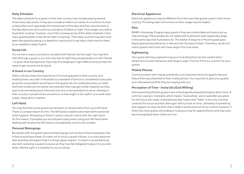#### **Daily Schedule**

The daily schedule for a guest in their own country may include praying several times every day and/or it may also include an afternoon siesta. It is common to have a sleep after lunch (generally the hottest part of the day) and then resume work in the late afternoon and continue until about 8.30pm at night. Most adapt very well to Australian routines, however, one of the consequences of this daily schedule is that many guests prefer to eat dinner later in evening. Their daily routines may also have been disrupted by being in a detention centre and it may take a little time for them to re-establish a daily rhythm.

#### **Social Life**

It is normal in many countries to socialise with friends into the night. You may find that although a guest is out until very late at night they are generally out with friends - or given their background, they may find sleeping at night difficult and just feel the need to get out and not be alone.

#### **A Guest in our Country**

Many cultures stress the importance of honoring guests to their country and treating them very well. In Australia our standard of service is considered to be quite good but one problem we do face is that guests do not understand why our retail and food outlets are not better serviced and they may get a little impatient as they wait to be served because there are only one or two assistants to serve, whereas in their country it would not be uncommon to have eight or ten staff in one small retail outlet, restaurant or market.

#### **Left Hand**

You may find that some guests are reluctant to receive items from your left hand. There is a simple reason for this. The left hand is traditionally reserved for personal toilet hygiene. All passing of items in some cultures is done with the right hand for this reason. If possible you should particularly resist using your left hand when dealing with food as the left hand is considered by some to be unclean.

#### **Personal Belongings**

Be careful with the guest's personal belongings such as their Koran and prayer mat if they should have these. It is best not to touch a guest's Koran, it is a very personal item and they will expect that it is shown great respect. It is best to avoid admiring any item owned by a guest to excess as they may feel obligated to give it to you and when offered a gift, it is impolite for you to refuse.

#### **Electrical Appliances**

Electrical appliances may be different from the ones that guests used in their home country. Providing clear instructions on their usage may be helpful.

#### **Pets**

BR4R's Homestay Program asks guests if they are comfortable with pets such as cats and dogs. Many people do not relate well to domestic pets (especially dogs) in the same way that Australians do. The dislike of dogs for a Muslim guest goes beyond personal preference; it derives from the laws of Islam. Therefore, we do not match guests with hosts who have dogs if this is an issue.

#### **Sightseeing**

Your guest will enjoy experiencing your local attractions but be careful when attractions involve interaction with dogs or pigs. Find out if this is a concern for your guests.

#### **Mobile Phones**

Communication with friends and family is an important facet of a guest's life and they will be very attached to their mobile phone. You may wish to give your guests your wifi password while they are staying with you.

#### **Perception of Time - Insha'alla (God Willing)**

Some practising Muslim guests have a theologically based philosophy about time. A common saying is 'Insha'alla' which means "God willing", and is said after any plans for the future are made. Insha'alla basically means that "Allah" is the only one that controls the future and that although I will try to be on time, ultimately if something else happens to stop me then that is Allah's wishes and out of my control; however, it likely that most guests will endeavor to be punctual for appointments and may even become agitated when others are not.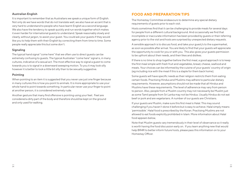#### **Australian English**

It is important to remember that as Australians we speak a unique form of English. Not only do we have words that do not translate well, we also have an accent that is very hard to understand to people who have learnt English as a second language. We also have the tendency to speak quickly and run words together which makes it even harder for international guests to understand. Speak reasonably slowly and clearly, without jargon, to assist your guest. You could ask your guests if they would like you to help them with their English by correcting them from time to time. Some people really appreciate this but some don't.

#### **Signaling**

The typical hand signal "come here" that we often use to direct guests can be extremely confusing to guests. The typical Australian "come here" signal is, in many cultures, indicative of a sexual act. The most effective way to signal a guest to come towards you is to signal in a downward sweeping motion. To you it may look silly however it is better to look a little bit silly than to be sexually suggestive.

#### **Pointing**

When pointing to an item it is suggested that you never use just one finger because in many cultures this is how you point to animals. It is more appropriate to use your whole hand to point towards something. In particular never use your finger to point at another person, it is considered extremely rude.

Another gesture that many find offensive is pointing using your feet. Feet are considered a dirty part of the body and therefore should be kept on the ground and only used for walking.

## **FOOD AND PREPARATION TIPS**

The Homestay Committee endeavours to determine any special dietary requirements of guests prior to each visit.

Hosts sometimes find that it can be challenging to provide meals for several days for people from a different cultural background. And occasionally we find that incomplete or inaccurate information has been provided by guests or their referring agency prior to the visit and hosts are surprised by unexpected dietary requests.

A sensible approach is to discuss food, and take your guest/s to the supermarket, as soon as possible after arrival. You are likely to find that your guests will appreciate the opportunity to cook for you or with you. This also gives your guests permission to be upfront about their needs, and their likes and dislikes.

If there is no time to shop together before the first meal, a good approach is to keep the first meal simple with fresh fruit and vegetables, bread, cheese, seafood and meats. Your choices can be informed by the cuisine of your guests' country of origin (eg including rice with the meal if this is a staple for them back home).

Some guests will have specific needs as their religion restricts them from eating certain foods. Practising Hindus and Muslims may adhere to particular dietary requirements. However, assumptions should not be made that all Hindus and Muslims have these requirements. The level of adherence may vary from person to person. Also, people from a Muslim country may not necessarily be Muslim just as some Tamil people from Sri Lanka may not be Hindus. Usually Hindus do not eat beef or pork and are vegetarians. A number of our guests are Christians.

If your guests are Muslim, make sure this first meal is Halal. This may sound challenging if you haven't done it before but is easy to achieve. Halal simply means 'permissible'. Halal food is prescribed by the Koran. Practising Muslims are not allowed to eat foods explicitly prohibited in Islam. More information about Halal food appears below,

Note that Muslim guests vary tremendously in their level of observance so it really is worth having the food discussion early on. If you learn anything new that would help BR4R to better inform future hosts, please pass this information on to your Homestay Officer.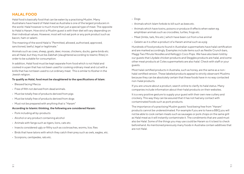## **HALAL FOOD**

Halal food is basically food that can be eaten by a practising Muslim. Many Australians have heard of Halal meat as Australia is one of the largest producers in the world. Halal however is much more than just a special type of meat. The opposite to Halal is Haram. How strict a Muslim guest is with their diet will vary depending on their individual values. However, most will not eat pork or any pork product such as bacon, ham or salami.

The meaning of the word Halal is "Permitted, allowed, authorised, approved, sanctioned, lawful, legal or legitimate."

Animals such as cows, sheep, goats, deer, moose, chickens, ducks, game birds etc. are all Halal, but they must be Zabihah (slaughtered according to Islamic Rites) in order to be suitable for consumption.

In addition, Halal food must be kept separate from food which is not Halal and cooked in a pan that has not been used for cooking ordinary meat and cut with a knife that has not been used to cut ordinary meat. This is similar to Kosher in the Jewish religion.

#### **To qualify as Halal, food must be slaughtered to the specifications of Islam:**

- • Blessed facing Mecca
- Free of filth not derived from dead animals.
- Must be totally free of products derived from pigs
- Must be totally free of products derived from dogs
- Must not be prepared with anything that is "Haram"

#### **According to Islamic thinking, the following are considered Haram:**

- Pork including all by-products
- Alcohol or any product containing alcohol
- Animals with fangs such as tigers, lions, cats etc.
- Insects considered ugly or filthy such as cockroaches, worms, lice, flies
- • Birds that have talons with which they catch their prey such as owls, eagles, etc.
- • Scorpions, centipedes, rats etc.
- Dogs
- • Animals which Islam forbids to kill such as bees etc.
- • Animals which have toxins, poisons or produce ill effects when eaten eg. amphibian animals such as crocodiles, turtles, frogs etc.
- Meat (limbs, tails, fins etc.) which have been cut from a live animal
- Gelatin as it is often a product of a Haram animal such as a pig

Hundreds of food products found in Australian supermarkets have halal certification and are marked accordingly. Examples include items such as Nestle Crunch bars, Maggi Two Minute Noodles and Kellogg's Coco Pops. We have also been told by our guests that Lilydale chicken products and Steggles products are halal, and some other meat products at Coles supermarkets are also halal. Check with staff or your guests.

Most halal certified products in Australia, such as honey, are the same as a nonhalal certified version. These labeled products appeal to strictly observant Muslims because they can be absolutely certain that these foods have in no way contacted non-halal products.

If you are unsure about a product, search online to clarify its halal status. Many companies include information about their halal products on their websites.

It is a very positive gesture to supply your guest with their own new cutlery and crockery. This way they can be assured that it has not had any contact with contaminated foods such as pork products.

The importance of a practising Muslim guests' food being free from "Haram" products cannot be underestimated. For example if you are to have a BBQ you will not be able to cook certain meats such as sausages or pork chops on the same grill as Halal meat as it will instantly contaminate it. The condiments that are used must also be Halal. Some of the things you may use could be Haram so it is best to check beforehand. As mentioned previously many foods in Australia contain additives that are not Halal.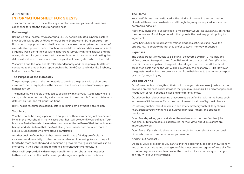## **APPENDIX 2 INFORMATION SHEET FOR GUESTS**

The information aims to make the stay a comfortable, enjoyable and stress-free experience for both the guests and their host.

#### **Ballina region**

Ballina is a small coastal town of around 18,000 people, situated in north-eastern New South Wales about 750 kilometres from Sydney and 180 kilometres from Brisbane. It is a popular tourist destination with a relaxed country-town and seaside/ riverside atmosphere. There is much to see and do in Ballina and its surrounds, such as gentle walks along the coast and in nature reserves, swimming in lakes and the ocean, visiting villages, markets, art galleries, listening to live music and tasting the delicious local food. The climate is sub-tropical so it never gets too hot or too cold.

Visitors will find the local people relaxed and friendly, and the region quite different compared to the much busier spots such as the Gold Coast and cities like Brisbane, Melbourne and Sydney.

#### **The Purpose of the Homestay**

The primary purpose of the homestay is to provide the guests with a short time away from their everyday life in the city and from their cares and worries as people seeking asylum.

The homestay will enable the guests to socialise with everyday Australians who are caring and concerned people, and who are keen to meet people from countries with different cultural and religious traditions.

BR4R has no resources to assist guests in obtaining employment in this region.

#### **Your Host**

Your host could be a single person or a couple, and there may or may not be children living in the household. In many cases, your host will be over 50 years of age. Your hosts are Australians who have a deep concern for the welfare of their fellow human beings, and who believe that the Australian government could do much more to assist asylum seekers who have arrived in Australia.

Another quality of your host is that he or she will have a fair degree of cultural awareness and sensitivity to other cultures and ways of behaving. As such they will tend to be more accepting and understanding towards their guests, and will also be interested in their guests as people from a different country and culture.

Guests will be provided with some personal information about their host prior to their visit, such as the host's name, gender, age, occupation and hobbies.

#### **The Home**

Your host's home may be situated in the middle of town or in the countryside. Guests will have their own bedroom although they may be required to share the bathroom and toilet.

Hosts may invite their guests to cook a meal if they would like to, as a way of sharing their culture and food. Together with their guests, the host may go shopping for ingredients.

Some hosts have pets such as well trained dogs or a cat. Guests will have the opportunity to decide whether they prefer to stay in homes without pets.

#### **Expenses**

The transport costs of guests to Ballina will be covered by BR4R. This includes airfares, ground transport to and from Ballina airport, bus or train fares (if coming from Brisbane) and petrol if the guest is traveling in their own car. All food and associated costs during the visit will be covered by the host or by BR4R. However, the guests need to find their own transport from their home to the domestic airport (such as Sydney), if flying.

#### **Dos and Don'ts**

Do inform your host of anything that could make your stay more enjoyable such as any food preferences, social activities that you may like or dislike, and other personal needs such as rest periods, a place and time for prayer etc.

Do ask your host about anything that you may be unfamiliar with in the house such as the use of kitchenware, TV or music equipment, location of light switches etc.

Do inform your host about any health and safety matters you think they should know, such as your swimming ability, level of physical fitness, and effects of medication.

Don't feel shy asking your host about themselves – such as their families, jobs, hobbies, cultural or religious background, or their views about issues that are important to you.

Don't feel as if you should share with your host information about your personal circumstances and problems unless you want to.

And last but not least …

Do enjoy yourself as best as you can, taking the opportunity to get to know friendly and caring Australians and seeing one of the most beautiful regions of Australia. Try to put aside your cares and worries for the duration of your homestay, so that you can return to your city refreshed.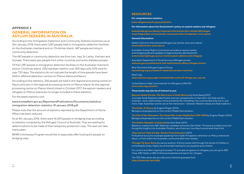### **APPENDIX 3 GENERAL INFORMATION ON ASYLUM SEEKERS IN AUSTRALIA**

According to the Immigration Detention and Community Statistics Summary as at 31st January 2018, there were 1,287 people held in immigration detention facilities on the Australian mainland and on Christmas Island. 447 people are living in community detention.

The 447 people in community detention are from Iran, Iraq, Sri Lanka, Vietnam and Somalia. There were also people from other countries and some stateless people.

Of the 1,287 people in immigration detention facilities on the Australian mainland and on Christmas Island, 33% had been held for over 365 days with 20% held for over 730 days. The statistics do not indicate the length of time people have been held in offshore detention centres on Manus Island and Nauru.

According to the statistics, 336 people are held in the regional processing centre on Nauru and zero in the regional processing centre on Manus Island. As the regional processing centre on Manus Island closed in October 2017, the asylum-seekers and refugees on Manus Island are no longer included in these statistics.

For the latest statistics visit:

www.homeaffairs.gov.au/ReportsandPublications/Documents/statistics/ immigration-detention-statistics-31-january-2018.pdf

Please note that the amount of statistics reported by the Department of Home Affairs has been reduced.

As at 4th January 2018, there were 16,069 people on bridging visas according to statistics compiled by the Refugee Council of Australia. They are waiting for determinations to be made of their temporary protection visas. The wait can take many years.

BR4R's Homestay Program would like to especially offer hosting for people on bridging visas.

#### **RESOURCES**

**For comprehensive statistics:** 

**www.refugeecouncil.org.au/statistics**

**For information about the Government's policy on asylum seekers and refugees:**

**www.border.gov.au/about/corporate/information/fact-sheets/60refugee www.theguardian.com/australia-news/australian-immigration-and-asylum**

#### **General Information:**

Kaldor Centre for International Refugee Law (stories, facts and videos) **www.kaldorcentre.unsw.edu.au**

Australian Human Rights Commission provides an asylum seeker and refugee guide and updates on legal and policy developments **www.humanrights.gov.au/our-work/asylum-seekers-and-refugees**

Australian Department of Social Services (Refugee stories) **www.dss.gov.au/settlement-and-multicultural-affairs/refugee-stories**

Blue Mountains Refugee Support Group **www.bmrsg.org.au/research-material/overseas-countries**

Red Cross **www.redcross.org.au/get-involved/take-action/5-things-you-can-do**

United Nations High Commissioner for Refugees (UNHCR) **www.unhcr.org.au/unhcr** 

**These books may also be of interest to you:**

*Beyond Veiled Clichés: The Real Lives of Arab Women* by Amal Awad (2017) Journalist Amal Awad provides Muslim womens' perspectives on their life in the Arab world in Australia - work, relationships, home and family life, friendships, the communities they live in, and more. Arab-Australian women are at the intersection – between Western ideals and Arab tradition.)

*The Arabs: A History* by Eugene Rogan (2013) Background perspective on the current Middle East situation

*The Fall of the Ottomans: The Great War in the Middle East 1914-1920* by Eugene Rogan (2016) Background perspective on the current Middle East situation

*The Islamic Republic of Australia* by Sami Shah (2017) Based on a series from ABC Radio by comedian and writer Sami Shah. This book provides funny and thoughtful insights into Australian Muslims, who there are, how they live and what they think.

#### *They Cannot Take the Sky: Stories From Detention* (2017)

First person accounts of people speaking from inside immigration detention on Manus Island and Nauru, or from within the Australian community after their release.

*Through My Eyes Series* by various authors. A fiction series told through the stories of children in world disaster areas. Highly recommended reading for young adults and children.

For current and often inspiring Australian TV and radio programs on refugees, you can go to ABC iView, ABC Radio or SBS OnDemand websites and search for 'refugee'.

The TED Talks series also provide some interesting perspectives **https://www.ted.com/talks**